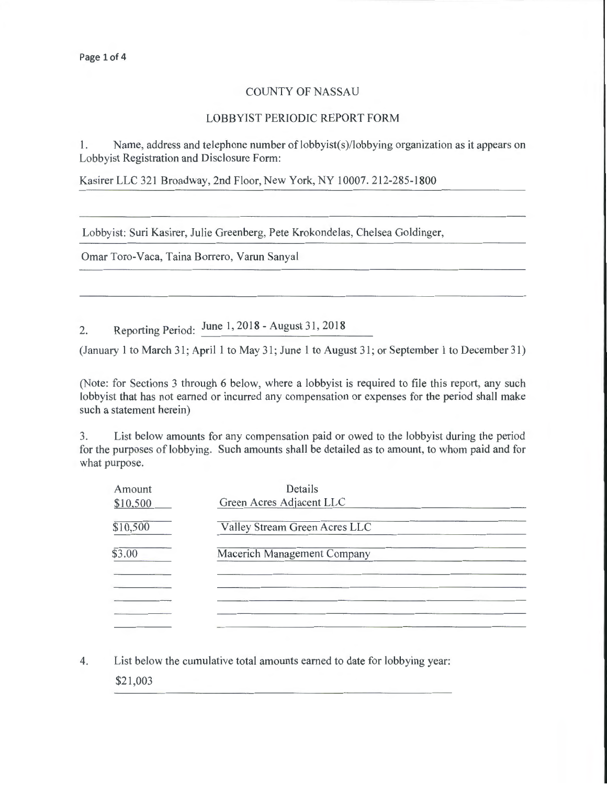## COUNTY OF NASSAU

## LOBBYIST PERIODIC REPORT FORM

I. Name, address and telephone number of lobbyist(s)/lobbying organization as it appears on Lobbyist Registration and Disclosure Form:

Kasirer LLC 321 Broadway, 2nd Floor, New York, NY 10007. 212-285-1800

Lobbyist: Suri Kasirer, Julie Greenberg, Pete Krokondelas, Chelsea Goldinger,

Omar Toro-Vaca, Taina Borrero, Yarun Sanyal

2. Reporting Period: June 1, 2018 - August 31, 2018

(January 1 to March 31; April 1 to May 31; June 1 to August 31; or September 1 to December 31)

(Note: for Sections 3 through 6 below, where a lobbyist is required to file this report, any such lobbyist that has not earned or incurred any compensation or expenses for the period shall make such a statement herein)

3. List below amounts for any compensation paid or owed to the lobbyist during the period for the purposes of lobbying. Such amounts shall be detailed as to amount, to whom paid and for what purpose.

| Details<br>Green Acres Adjacent LLC |  |  |  |
|-------------------------------------|--|--|--|
| Valley Stream Green Acres LLC       |  |  |  |
| <b>Macerich Management Company</b>  |  |  |  |
|                                     |  |  |  |
|                                     |  |  |  |

4. List below the cumulative total amounts earned to date for lobbying year:

\$21 ,003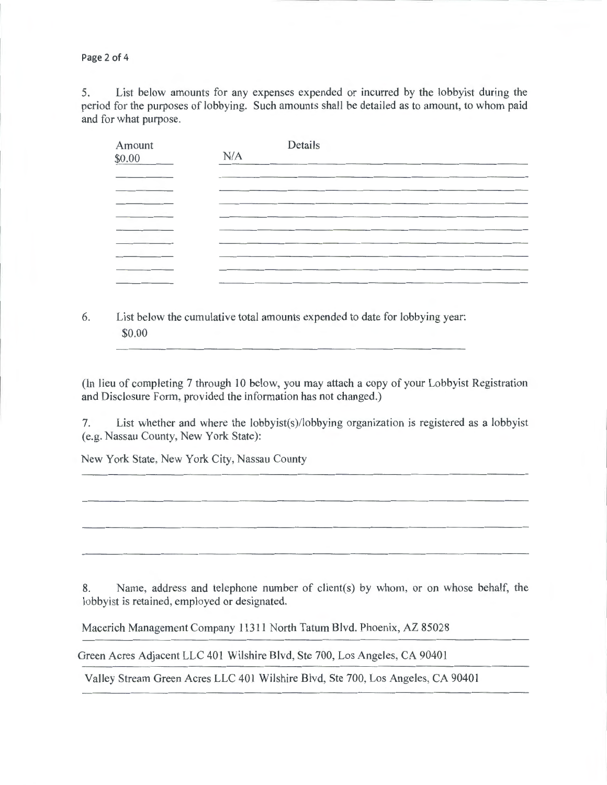Page 2 of 4

5. List below amounts for any expenses expended or incurred by the lobbyist during the period for the purposes of lobbying. Such amounts shall be detailed as to amount, to whom paid and for what purpose.

| Amount<br>\$0.00 | Details<br>N/A |                                                                                                                       |                                                                                                                 |  |
|------------------|----------------|-----------------------------------------------------------------------------------------------------------------------|-----------------------------------------------------------------------------------------------------------------|--|
|                  |                |                                                                                                                       |                                                                                                                 |  |
|                  |                |                                                                                                                       |                                                                                                                 |  |
|                  |                |                                                                                                                       | the contract of the contract of the contract of the contract of the contract of the contract of the contract of |  |
|                  |                |                                                                                                                       |                                                                                                                 |  |
|                  |                |                                                                                                                       |                                                                                                                 |  |
|                  |                |                                                                                                                       |                                                                                                                 |  |
|                  |                |                                                                                                                       |                                                                                                                 |  |
|                  |                | <u> 1980 - Johann Harry Harry Harry Harry Harry Harry Harry Harry Harry Harry Harry Harry Harry Harry Harry Harry</u> |                                                                                                                 |  |

6. List below the cumulative total amounts expended to date for lobbying year: \$0.00

(In lieu of completing 7 through 10 below, you may attach a copy of your Lobbyist Registration and Disclosure Form, provided the information has not changed.)

7. List whether and where the lobbyist(s)/lobbying organization is registered as a lobbyist (e.g. Nassau County, New York State):

New York State, New York City, Nassau County

8. Name, address and telephone number of client(s) by whom, or on whose behalf, the lobbyist is retained, employed or designated.

Macerich Management Company 11311 North Tatum Blvd. Phoenix, AZ 85028

Green Acres Adjacent LLC 401 Wilshire Blvd, Ste 700, Los Angeles, CA 90401

Valley Stream Green Acres LLC 401 Wilshire Blvd, Ste 700, Los Angeles, CA 90401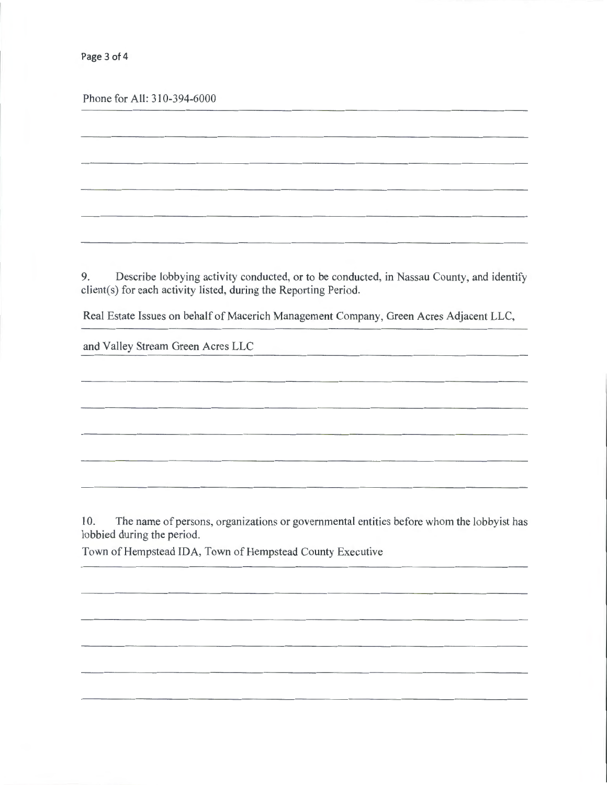Phone for All: 310-394-6000

9. Describe lobbying activity conducted, or to be conducted, in Nassau County, and identify client(s) for each activity listed, during the Reporting Period.

Real Estate Issues on behalf of Macerich Management Company, Green Acres Adjacent LLC,

and Valley Stream Green Acres LLC

10. The name of persons, organizations or governmental entities before whom the lobbyist has lobbied during the period.

Town of Hempstead IDA, Town of Hempstead County Executive